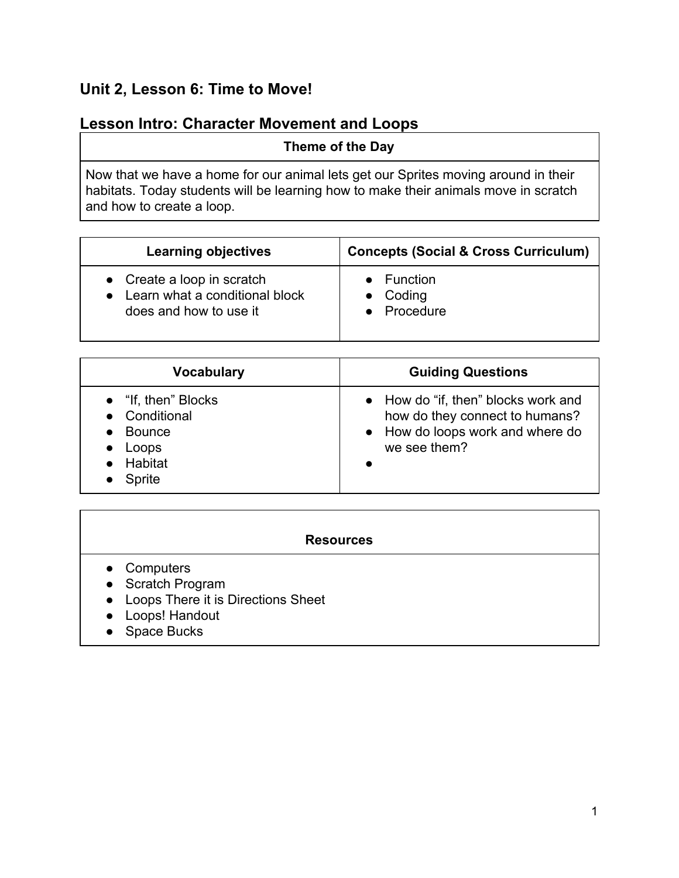# **Unit 2, Lesson 6: Time to Move!**

# **Lesson Intro: Character Movement and Loops**

### **Theme of the Day**

Now that we have a home for our animal lets get our Sprites moving around in their habitats. Today students will be learning how to make their animals move in scratch and how to create a loop.

| <b>Learning objectives</b>       | <b>Concepts (Social &amp; Cross Curriculum)</b> |
|----------------------------------|-------------------------------------------------|
| • Create a loop in scratch       | $\bullet$ Function                              |
| • Learn what a conditional block | $\bullet$ Coding                                |
| does and how to use it           | • Procedure                                     |

| <b>Vocabulary</b>                                                                                 | <b>Guiding Questions</b>                                                                                                  |
|---------------------------------------------------------------------------------------------------|---------------------------------------------------------------------------------------------------------------------------|
| • "If, then" Blocks<br>• Conditional<br><b>Bounce</b><br>Loops<br><b>Habitat</b><br><b>Sprite</b> | • How do "if, then" blocks work and<br>how do they connect to humans?<br>• How do loops work and where do<br>we see them? |

### **Resources**

- Computers
- Scratch Program
- Loops There it is Directions Sheet
- Loops! Handout
- Space Bucks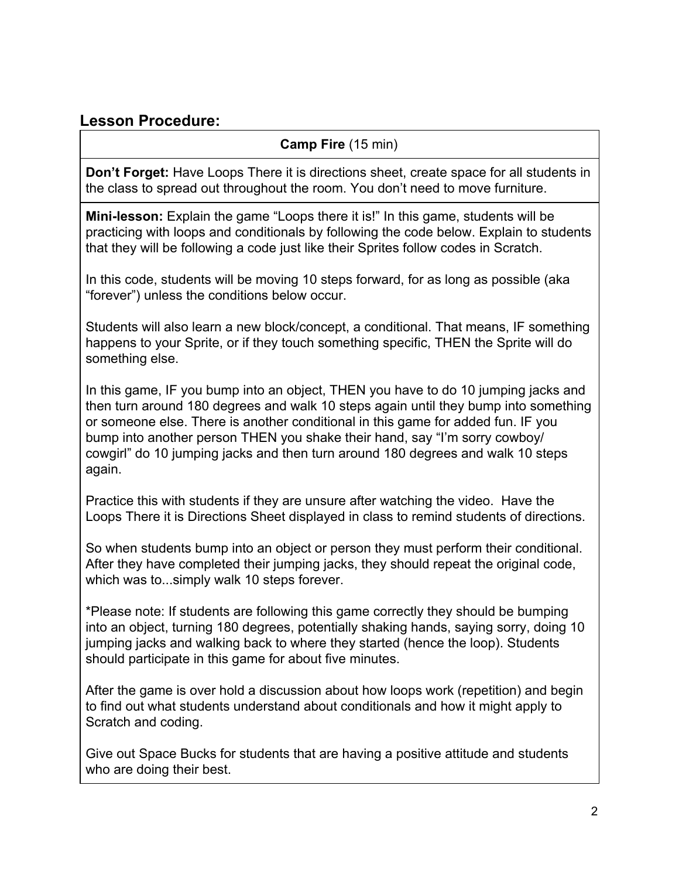## **Lesson Procedure:**

## **Camp Fire** (15 min)

**Don't Forget:** Have Loops There it is directions sheet, create space for all students in the class to spread out throughout the room. You don't need to move furniture.

**Mini-lesson:** Explain the game "Loops there it is!" In this game, students will be practicing with loops and conditionals by following the code below. Explain to students that they will be following a code just like their Sprites follow codes in Scratch.

In this code, students will be moving 10 steps forward, for as long as possible (aka "forever") unless the conditions below occur.

Students will also learn a new block/concept, a conditional. That means, IF something happens to your Sprite, or if they touch something specific, THEN the Sprite will do something else.

In this game, IF you bump into an object, THEN you have to do 10 jumping jacks and then turn around 180 degrees and walk 10 steps again until they bump into something or someone else. There is another conditional in this game for added fun. IF you bump into another person THEN you shake their hand, say "I'm sorry cowboy/ cowgirl" do 10 jumping jacks and then turn around 180 degrees and walk 10 steps again.

Practice this with students if they are unsure after watching the video. Have the Loops There it is Directions Sheet displayed in class to remind students of directions.

So when students bump into an object or person they must perform their conditional. After they have completed their jumping jacks, they should repeat the original code, which was to...simply walk 10 steps forever.

\*Please note: If students are following this game correctly they should be bumping into an object, turning 180 degrees, potentially shaking hands, saying sorry, doing 10 jumping jacks and walking back to where they started (hence the loop). Students should participate in this game for about five minutes.

After the game is over hold a discussion about how loops work (repetition) and begin to find out what students understand about conditionals and how it might apply to Scratch and coding.

Give out Space Bucks for students that are having a positive attitude and students who are doing their best.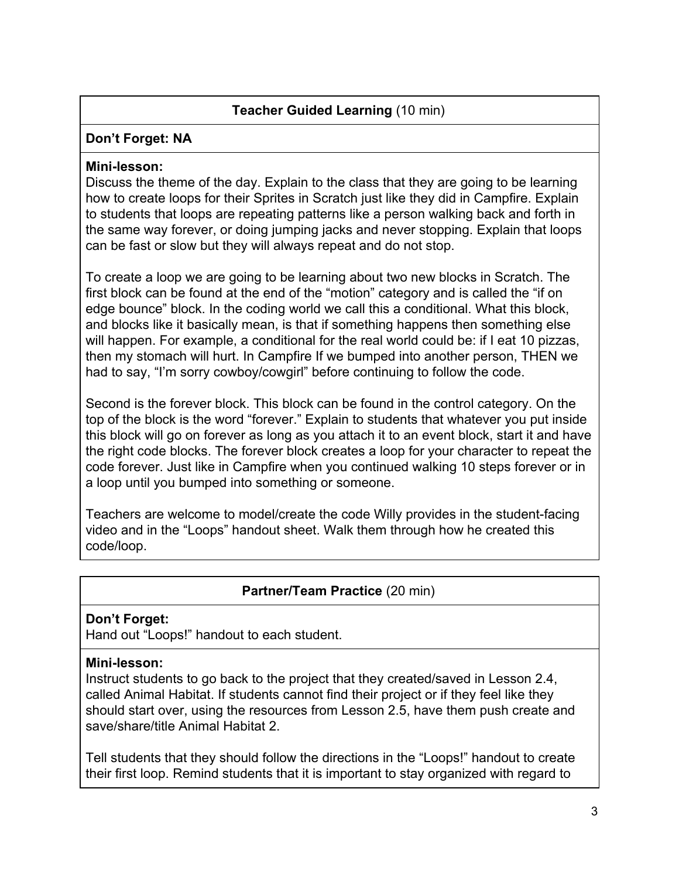## **Teacher Guided Learning** (10 min)

#### **Don't Forget: NA**

#### **Mini-lesson:**

Discuss the theme of the day. Explain to the class that they are going to be learning how to create loops for their Sprites in Scratch just like they did in Campfire. Explain to students that loops are repeating patterns like a person walking back and forth in the same way forever, or doing jumping jacks and never stopping. Explain that loops can be fast or slow but they will always repeat and do not stop.

To create a loop we are going to be learning about two new blocks in Scratch. The first block can be found at the end of the "motion" category and is called the "if on edge bounce" block. In the coding world we call this a conditional. What this block, and blocks like it basically mean, is that if something happens then something else will happen. For example, a conditional for the real world could be: if I eat 10 pizzas, then my stomach will hurt. In Campfire If we bumped into another person, THEN we had to say, "I'm sorry cowboy/cowgirl" before continuing to follow the code.

Second is the forever block. This block can be found in the control category. On the top of the block is the word "forever." Explain to students that whatever you put inside this block will go on forever as long as you attach it to an event block, start it and have the right code blocks. The forever block creates a loop for your character to repeat the code forever. Just like in Campfire when you continued walking 10 steps forever or in a loop until you bumped into something or someone.

Teachers are welcome to model/create the code Willy provides in the student-facing video and in the "Loops" handout sheet. Walk them through how he created this code/loop.

## **Partner/Team Practice** (20 min)

### **Don't Forget:**

Hand out "Loops!" handout to each student.

### **Mini-lesson:**

Instruct students to go back to the project that they created/saved in Lesson 2.4, called Animal Habitat. If students cannot find their project or if they feel like they should start over, using the resources from Lesson 2.5, have them push create and save/share/title Animal Habitat 2.

Tell students that they should follow the directions in the "Loops!" handout to create their first loop. Remind students that it is important to stay organized with regard to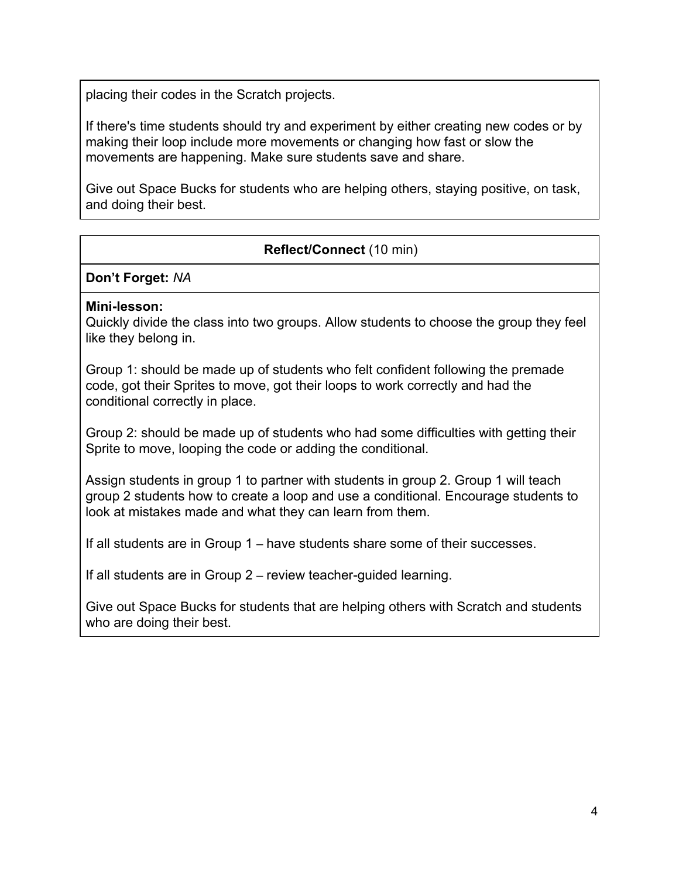placing their codes in the Scratch projects.

If there's time students should try and experiment by either creating new codes or by making their loop include more movements or changing how fast or slow the movements are happening. Make sure students save and share.

Give out Space Bucks for students who are helping others, staying positive, on task, and doing their best.

## **Reflect/Connect** (10 min)

**Don't Forget:** *NA*

#### **Mini-lesson:**

Quickly divide the class into two groups. Allow students to choose the group they feel like they belong in.

Group 1: should be made up of students who felt confident following the premade code, got their Sprites to move, got their loops to work correctly and had the conditional correctly in place.

Group 2: should be made up of students who had some difficulties with getting their Sprite to move, looping the code or adding the conditional.

Assign students in group 1 to partner with students in group 2. Group 1 will teach group 2 students how to create a loop and use a conditional. Encourage students to look at mistakes made and what they can learn from them.

If all students are in Group 1 – have students share some of their successes.

If all students are in Group 2 – review teacher-guided learning.

Give out Space Bucks for students that are helping others with Scratch and students who are doing their best.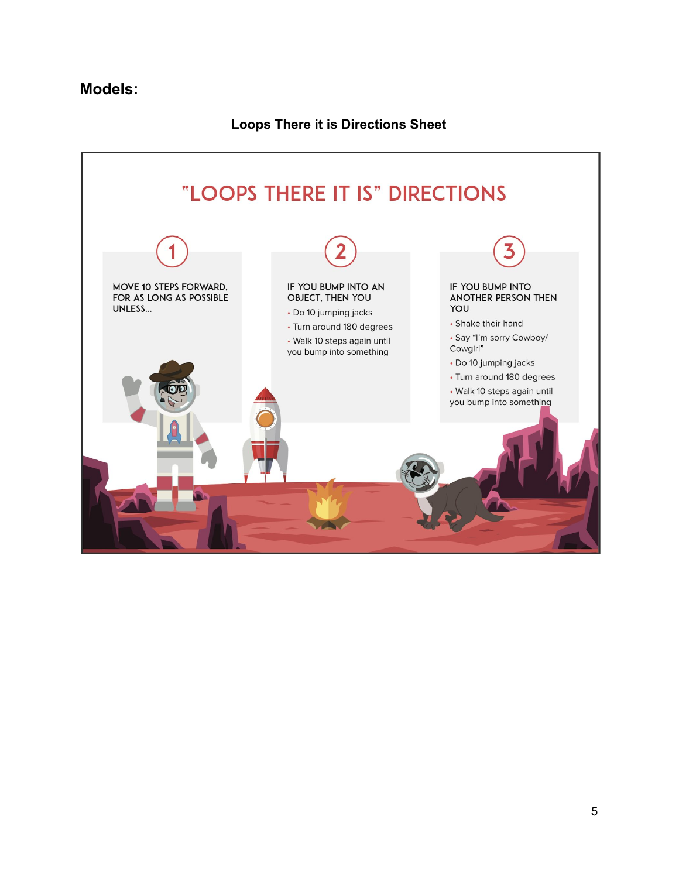## **Models:**

## **Loops There it is Directions Sheet**